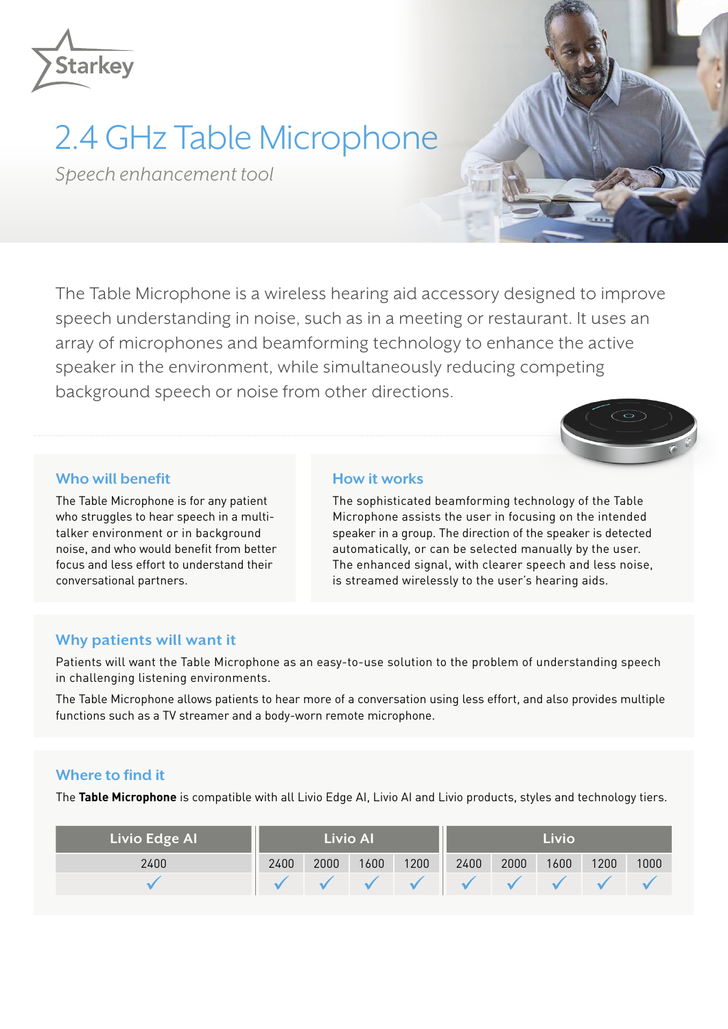

## 2.4 GHz Table Microphone

*Speech enhancement tool*

The Table Microphone is a wireless hearing aid accessory designed to improve speech understanding in noise, such as in a meeting or restaurant. It uses an array of microphones and beamforming technology to enhance the active speaker in the environment, while simultaneously reducing competing background speech or noise from other directions.



## **Who will benefit**

The Table Microphone is for any patient who struggles to hear speech in a multitalker environment or in background noise, and who would benefit from better focus and less effort to understand their conversational partners.

## **How it works**

The sophisticated beamforming technology of the Table Microphone assists the user in focusing on the intended speaker in a group. The direction of the speaker is detected automatically, or can be selected manually by the user. The enhanced signal, with clearer speech and less noise, is streamed wirelessly to the user's hearing aids.

### **Why patients will want it**

Patients will want the Table Microphone as an easy-to-use solution to the problem of understanding speech in challenging listening environments.

The Table Microphone allows patients to hear more of a conversation using less effort, and also provides multiple functions such as a TV streamer and a body-worn remote microphone.

## **Where to find it**

The **Table Microphone** is compatible with all Livio Edge AI, Livio AI and Livio products, styles and technology tiers.

| <b>Livio Edge Al</b> | <b>Livio Al</b> |      |      |      | Livio |      |      |      |      |
|----------------------|-----------------|------|------|------|-------|------|------|------|------|
| 2400                 | 2400            | 2000 | 1600 | 1200 | 2400  | 2000 | 1600 | 1200 | 1000 |
|                      |                 |      |      |      |       |      |      |      |      |